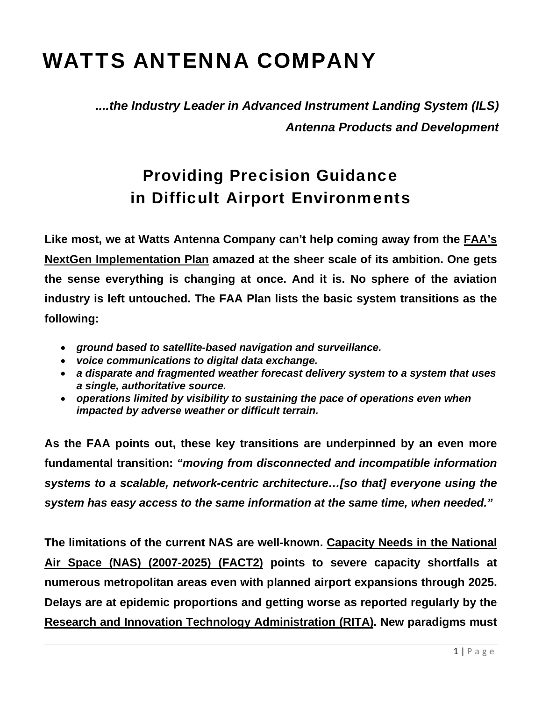## WATTS ANTENNA COMPANY

*....the Industry Leader in Advanced Instrument Landing System (ILS) Antenna Products and Development*

## Providing Precision Guidance in Difficult Airport Environments

**Like most, we at Watts Antenna Company can't help coming away from the [FAA's](http://www.faa.gov/about/initiatives/nextgen/media/NGIP_0130.pdf)  [NextGen Implementation Plan](http://www.faa.gov/about/initiatives/nextgen/media/NGIP_0130.pdf) amazed at the sheer scale of its ambition. One gets the sense everything is changing at once. And it is. No sphere of the aviation industry is left untouched. The FAA Plan lists the basic system transitions as the following:** 

- *ground based to satellite-based navigation and surveillance.*
- *voice communications to digital data exchange.*
- *a disparate and fragmented weather forecast delivery system to a system that uses a single, authoritative source.*
- *operations limited by visibility to sustaining the pace of operations even when impacted by adverse weather or difficult terrain.*

**As the FAA points out, these key transitions are underpinned by an even more fundamental transition:** *"moving from disconnected and incompatible information systems to a scalable, network-centric architecture…[so that] everyone using the system has easy access to the same information at the same time, when needed."*

**The limitations of the current NAS are well-known. [Capacity Needs in the National](http://www.faa.gov/airports/resources/publications/reports/media/fact_2_appendices.pdf)  [Air Space \(NAS\) \(2007-2025\) \(FACT2\)](http://www.faa.gov/airports/resources/publications/reports/media/fact_2_appendices.pdf) points to severe capacity shortfalls at numerous metropolitan areas even with planned airport expansions through 2025. Delays are at epidemic proportions and getting worse as reported regularly by the [Research and Innovation Technology Administration \(RITA\)](http://www.transtats.bts.gov/OT_Delay/OT_DelayCause1.asp). New paradigms must**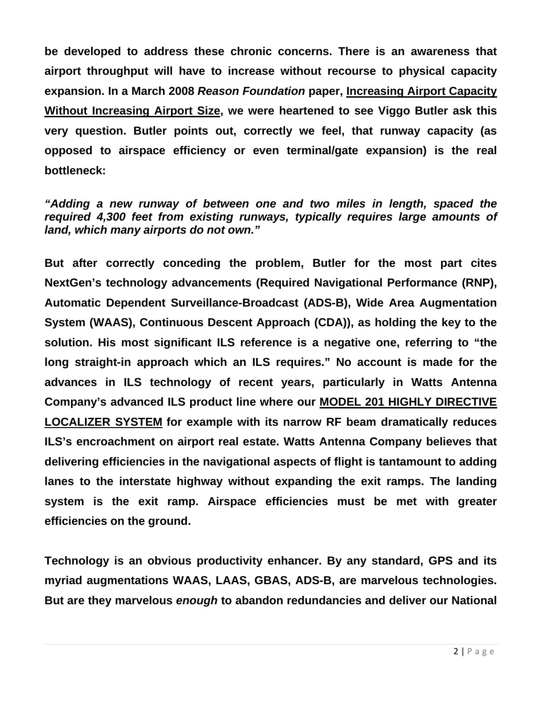**be developed to address these chronic concerns. There is an awareness that airport throughput will have to increase without recourse to physical capacity expansion. In a March 2008** *Reason Foundation* **paper, [Increasing Airport Capacity](http://reason.org/files/389925a929371844eecfb1be27675b08.pdf)  [Without Increasing Airport Size,](http://reason.org/files/389925a929371844eecfb1be27675b08.pdf) we were heartened to see Viggo Butler ask this very question. Butler points out, correctly we feel, that runway capacity (as opposed to airspace efficiency or even terminal/gate expansion) is the real bottleneck:** 

*"Adding a new runway of between one and two miles in length, spaced the required 4,300 feet from existing runways, typically requires large amounts of land, which many airports do not own."* 

**But after correctly conceding the problem, Butler for the most part cites NextGen's technology advancements (Required Navigational Performance (RNP), Automatic Dependent Surveillance-Broadcast (ADS-B), Wide Area Augmentation System (WAAS), Continuous Descent Approach (CDA)), as holding the key to the solution. His most significant ILS reference is a negative one, referring to "the long straight-in approach which an ILS requires." No account is made for the advances in ILS technology of recent years, particularly in Watts Antenna Company's advanced ILS product line where our [MODEL 201 HIGHLY DIRECTIVE](http://www.wattsantenna.com/201.htm)  [LOCALIZER SYSTEM](http://www.wattsantenna.com/201.htm) for example with its narrow RF beam dramatically reduces ILS's encroachment on airport real estate. Watts Antenna Company believes that delivering efficiencies in the navigational aspects of flight is tantamount to adding lanes to the interstate highway without expanding the exit ramps. The landing system is the exit ramp. Airspace efficiencies must be met with greater efficiencies on the ground.** 

**Technology is an obvious productivity enhancer. By any standard, GPS and its myriad augmentations WAAS, LAAS, GBAS, ADS-B, are marvelous technologies. But are they marvelous** *enough* **to abandon redundancies and deliver our National**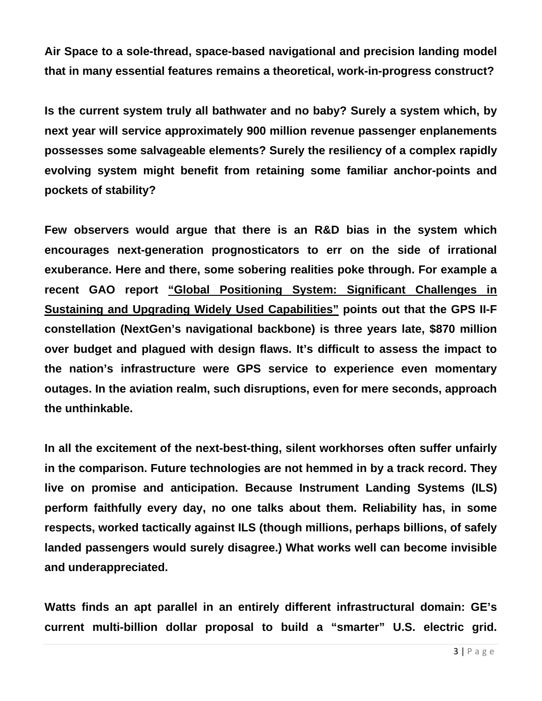**Air Space to a sole-thread, space-based navigational and precision landing model that in many essential features remains a theoretical, work-in-progress construct?** 

**Is the current system truly all bathwater and no baby? Surely a system which, by next year will service approximately 900 million revenue passenger enplanements possesses some salvageable elements? Surely the resiliency of a complex rapidly evolving system might benefit from retaining some familiar anchor-points and pockets of stability?** 

**Few observers would argue that there is an R&D bias in the system which encourages next-generation prognosticators to err on the side of irrational exuberance. Here and there, some sobering realities poke through. For example a recent GAO report ["Global Positioning System: Significant Challenges in](http://www.gao.gov/new.items/d09670t.pdf)  [Sustaining and Upgrading Widely Used Capabilities"](http://www.gao.gov/new.items/d09670t.pdf) points out that the GPS II-F constellation (NextGen's navigational backbone) is three years late, \$870 million over budget and plagued with design flaws. It's difficult to assess the impact to the nation's infrastructure were GPS service to experience even momentary outages. In the aviation realm, such disruptions, even for mere seconds, approach the unthinkable.** 

**In all the excitement of the next-best-thing, silent workhorses often suffer unfairly in the comparison. Future technologies are not hemmed in by a track record. They live on promise and anticipation. Because Instrument Landing Systems (ILS) perform faithfully every day, no one talks about them. Reliability has, in some respects, worked tactically against ILS (though millions, perhaps billions, of safely landed passengers would surely disagree.) What works well can become invisible and underappreciated.** 

**Watts finds an apt parallel in an entirely different infrastructural domain: GE's current multi-billion dollar proposal to build a "smarter" U.S. electric grid.**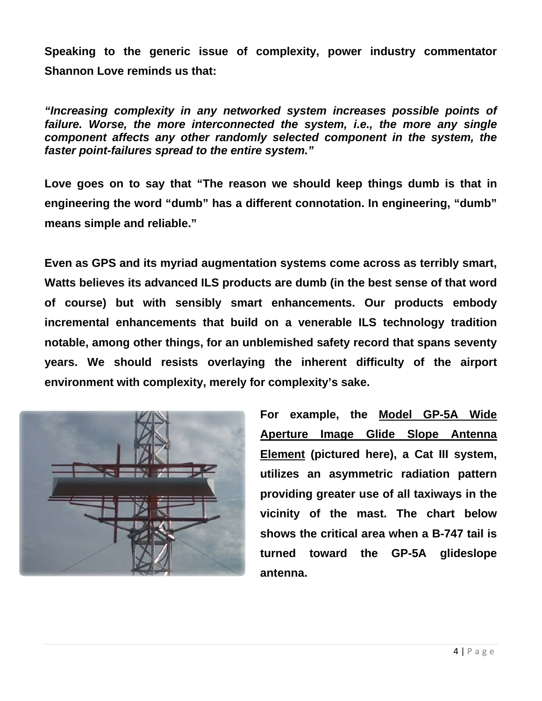**Speaking to the generic issue of complexity, power industry commentator Shannon Love reminds us that:** 

*"Increasing complexity in any networked system increases possible points of*  failure. Worse, the more interconnected the system, *i.e.*, the more any single *component affects any other randomly selected component in the system, the faster point-failures spread to the entire system."* 

**Love goes on to say that "The reason we should keep things dumb is that in engineering the word "dumb" has a different connotation. In engineering, "dumb" means simple and reliable."** 

**Even as GPS and its myriad augmentation systems come across as terribly smart, Watts believes its advanced ILS products are dumb (in the best sense of that word of course) but with sensibly smart enhancements. Our products embody incremental enhancements that build on a venerable ILS technology tradition notable, among other things, for an unblemished safety record that spans seventy years. We should resists overlaying the inherent difficulty of the airport environment with complexity, merely for complexity's sake.** 



**For example, the [Model GP-5A Wide](http://www.wattsantenna.com/GP5A.htm)  [Aperture Image Glide Slope Antenna](http://www.wattsantenna.com/GP5A.htm)  [Element](http://www.wattsantenna.com/GP5A.htm) (pictured here), a Cat III system, utilizes an asymmetric radiation pattern providing greater use of all taxiways in the vicinity of the mast. The chart below shows the critical area when a B-747 tail is turned toward the GP-5A glideslope antenna.**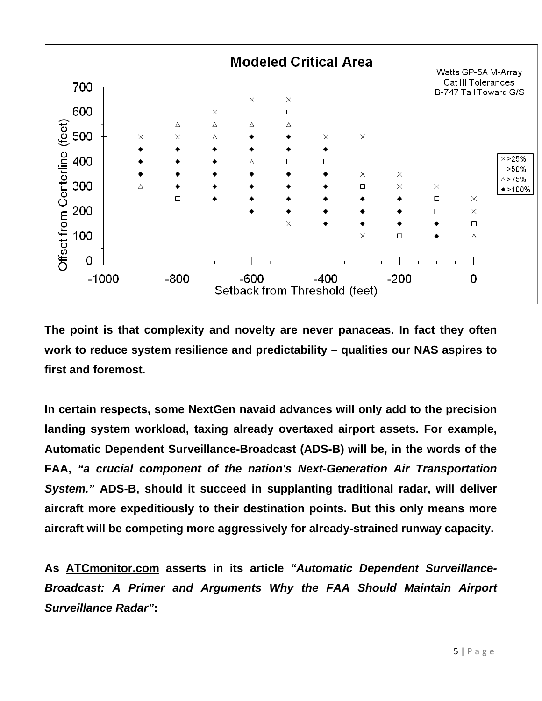

**The point is that complexity and novelty are never panaceas. In fact they often work to reduce system resilience and predictability – qualities our NAS aspires to first and foremost.** 

**In certain respects, some NextGen navaid advances will only add to the precision landing system workload, taxing already overtaxed airport assets. For example, Automatic Dependent Surveillance-Broadcast (ADS-B) will be, in the words of the FAA,** *"a crucial component of the nation's Next-Generation Air Transportation System."* **ADS-B, should it succeed in supplanting traditional radar, will deliver aircraft more expeditiously to their destination points. But this only means more aircraft will be competing more aggressively for already-strained runway capacity.** 

**As [ATCmonitor.com](http://www.atcmonitor.com/) asserts in its article** *"Automatic Dependent Surveillance-Broadcast: A Primer and Arguments Why the FAA Should Maintain Airport Surveillance Radar"***:**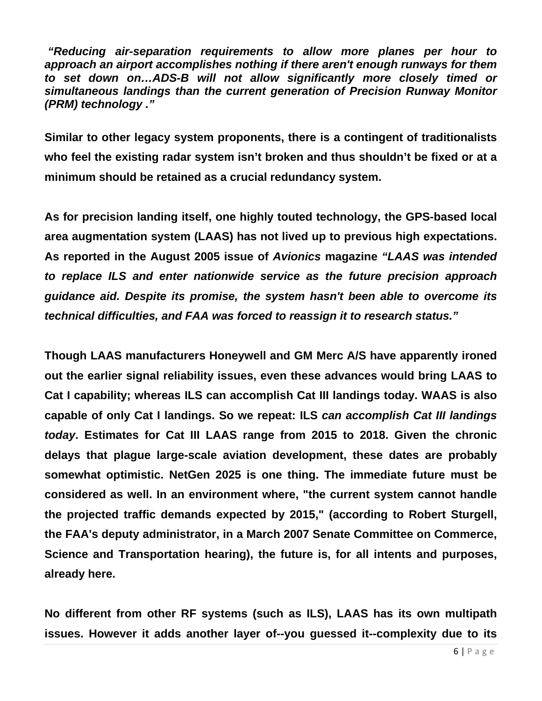*"Reducing air-separation requirements to allow more planes per hour to approach an airport accomplishes nothing if there aren't enough runways for them to set down on…ADS-B will not allow significantly more closely timed or simultaneous landings than the current generation of [Precision Runway Monitor](http://atcmonitor.com/precision_runway_monitoring_atlanta.html)  [\(PRM\) technology .](http://atcmonitor.com/precision_runway_monitoring_atlanta.html)"* 

**Similar to other legacy system proponents, there is a contingent of traditionalists who feel the existing radar system isn't broken and thus shouldn't be fixed or at a minimum should be retained as a crucial redundancy system.** 

**As for precision landing itself, one highly touted technology, the GPS-based local area augmentation system (LAAS) has not lived up to previous high expectations. As reported in the August 2005 issue of** *Avionics* **magazine** *"LAAS was intended to replace ILS and enter nationwide service as the future precision approach guidance aid. Despite its promise, the system hasn't been able to overcome its technical difficulties, and FAA was forced to reassign it to research status."* 

**Though LAAS manufacturers Honeywell and GM Merc A/S have apparently ironed out the earlier signal reliability issues, even these advances would bring LAAS to Cat I capability; whereas ILS can accomplish Cat III landings today. WAAS is also capable of only Cat I landings. So we repeat: ILS** *can accomplish Cat III landings today***. Estimates for Cat III LAAS range from 2015 to 2018. Given the chronic delays that plague large-scale aviation development, these dates are probably somewhat optimistic. NetGen 2025 is one thing. The immediate future must be considered as well. In an environment where, "the current system cannot handle the projected traffic demands expected by 2015," (according to Robert Sturgell, the FAA's deputy administrator, in a March 2007 Senate Committee on Commerce, Science and Transportation hearing), the future is, for all intents and purposes, already here.** 

**No different from other RF systems (such as ILS), LAAS has its own multipath issues. However it adds another layer of--you guessed it--complexity due to its**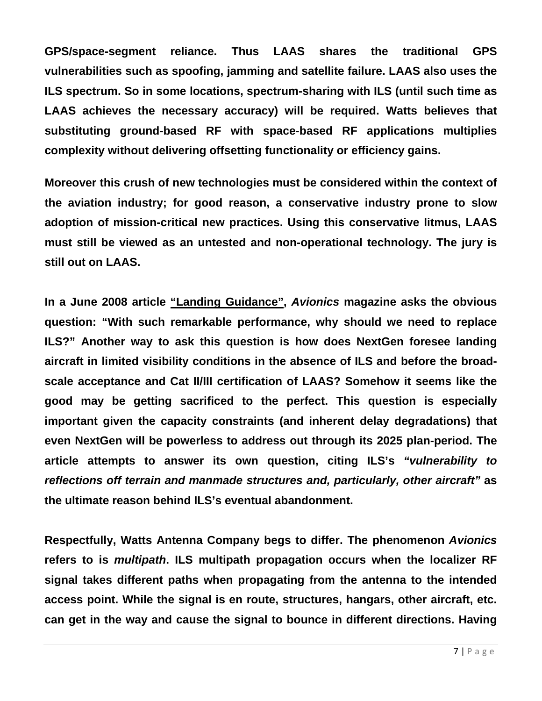**GPS/space-segment reliance. Thus LAAS shares the traditional GPS vulnerabilities such as spoofing, jamming and satellite failure. LAAS also uses the ILS spectrum. So in some locations, spectrum-sharing with ILS (until such time as LAAS achieves the necessary accuracy) will be required. Watts believes that substituting ground-based RF with space-based RF applications multiplies complexity without delivering offsetting functionality or efficiency gains.** 

**Moreover this crush of new technologies must be considered within the context of the aviation industry; for good reason, a conservative industry prone to slow adoption of mission-critical new practices. Using this conservative litmus, LAAS must still be viewed as an untested and non-operational technology. The jury is still out on LAAS.** 

**In a June 2008 article ["Landing Guidance",](http://www.aviationtoday.com/av/categories/commercial/22411.html)** *Avionics* **magazine asks the obvious question: "With such remarkable performance, why should we need to replace ILS?" Another way to ask this question is how does NextGen foresee landing aircraft in limited visibility conditions in the absence of ILS and before the broadscale acceptance and Cat II/III certification of LAAS? Somehow it seems like the good may be getting sacrificed to the perfect. This question is especially important given the capacity constraints (and inherent delay degradations) that even NextGen will be powerless to address out through its 2025 plan-period. The article attempts to answer its own question, citing ILS's** *"vulnerability to reflections off terrain and manmade structures and, particularly, other aircraft"* **as the ultimate reason behind ILS's eventual abandonment.**

**Respectfully, Watts Antenna Company begs to differ. The phenomenon** *Avionics* **refers to is** *multipath***. ILS multipath propagation occurs when the localizer RF signal takes different paths when propagating from the antenna to the intended access point. While the signal is en route, structures, hangars, other aircraft, etc. can get in the way and cause the signal to bounce in different directions. Having**